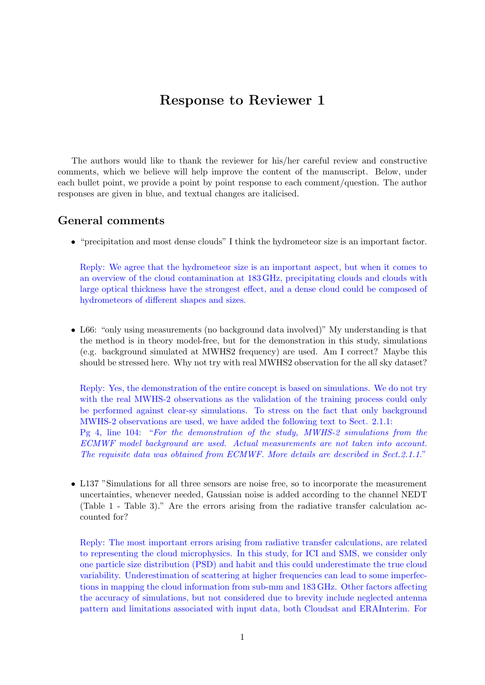## Response to Reviewer 1

The authors would like to thank the reviewer for his/her careful review and constructive comments, which we believe will help improve the content of the manuscript. Below, under each bullet point, we provide a point by point response to each comment/question. The author responses are given in blue, and textual changes are italicised.

## General comments

• "precipitation and most dense clouds" I think the hydrometeor size is an important factor.

Reply: We agree that the hydrometeor size is an important aspect, but when it comes to an overview of the cloud contamination at 183 GHz, precipitating clouds and clouds with large optical thickness have the strongest effect, and a dense cloud could be composed of hydrometeors of different shapes and sizes.

• L66: "only using measurements (no background data involved)" My understanding is that the method is in theory model-free, but for the demonstration in this study, simulations (e.g. background simulated at MWHS2 frequency) are used. Am I correct? Maybe this should be stressed here. Why not try with real MWHS2 observation for the all sky dataset?

Reply: Yes, the demonstration of the entire concept is based on simulations. We do not try with the real MWHS-2 observations as the validation of the training process could only be performed against clear-sy simulations. To stress on the fact that only background MWHS-2 observations are used, we have added the following text to Sect. 2.1.1: Pg 4, line 104: "For the demonstration of the study, MWHS-2 simulations from the ECMWF model background are used. Actual measurements are not taken into account. The requisite data was obtained from ECMWF. More details are described in Sect.2.1.1."

• L137 "Simulations for all three sensors are noise free, so to incorporate the measurement uncertainties, whenever needed, Gaussian noise is added according to the channel NEDT (Table 1 - Table 3)." Are the errors arising from the radiative transfer calculation accounted for?

Reply: The most important errors arising from radiative transfer calculations, are related to representing the cloud microphysics. In this study, for ICI and SMS, we consider only one particle size distribution (PSD) and habit and this could underestimate the true cloud variability. Underestimation of scattering at higher frequencies can lead to some imperfections in mapping the cloud information from sub-mm and 183 GHz. Other factors affecting the accuracy of simulations, but not considered due to brevity include neglected antenna pattern and limitations associated with input data, both Cloudsat and ERAInterim. For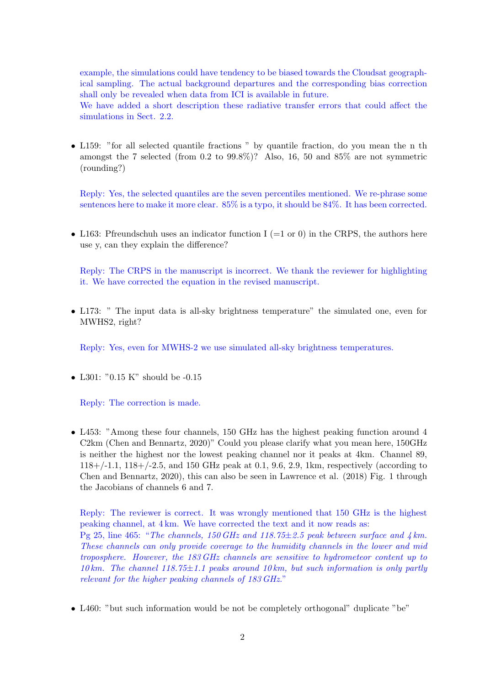example, the simulations could have tendency to be biased towards the Cloudsat geographical sampling. The actual background departures and the corresponding bias correction shall only be revealed when data from ICI is available in future.

We have added a short description these radiative transfer errors that could affect the simulations in Sect. 2.2.

• L159: "for all selected quantile fractions " by quantile fraction, do you mean the n th amongst the 7 selected (from 0.2 to 99.8%)? Also, 16, 50 and 85% are not symmetric (rounding?)

Reply: Yes, the selected quantiles are the seven percentiles mentioned. We re-phrase some sentences here to make it more clear. 85% is a typo, it should be 84%. It has been corrected.

• L163: Pfreundschuh uses an indicator function I (=1 or 0) in the CRPS, the authors here use y, can they explain the difference?

Reply: The CRPS in the manuscript is incorrect. We thank the reviewer for highlighting it. We have corrected the equation in the revised manuscript.

• L173: " The input data is all-sky brightness temperature" the simulated one, even for MWHS2, right?

Reply: Yes, even for MWHS-2 we use simulated all-sky brightness temperatures.

• L301: "0.15 K" should be -0.15

Reply: The correction is made.

• L453: "Among these four channels, 150 GHz has the highest peaking function around 4 C2km (Chen and Bennartz, 2020)" Could you please clarify what you mean here, 150GHz is neither the highest nor the lowest peaking channel nor it peaks at 4km. Channel 89,  $118+/-1.1$ ,  $118+/-2.5$ , and 150 GHz peak at 0.1, 9.6, 2.9, 1km, respectively (according to Chen and Bennartz, 2020), this can also be seen in Lawrence et al. (2018) Fig. 1 through the Jacobians of channels 6 and 7.

Reply: The reviewer is correct. It was wrongly mentioned that 150 GHz is the highest peaking channel, at 4 km. We have corrected the text and it now reads as: Pg 25, line 465: "The channels, 150 GHz and 118.75 $\pm$ 2.5 peak between surface and  $4 \text{ km}$ . These channels can only provide coverage to the humidity channels in the lower and mid troposphere. However, the 183 GHz channels are sensitive to hydrometeor content up to 10 km. The channel 118.75 $\pm$ 1.1 peaks around 10 km, but such information is only partly relevant for the higher peaking channels of 183 GHz."

• L460: "but such information would be not be completely orthogonal" duplicate "be"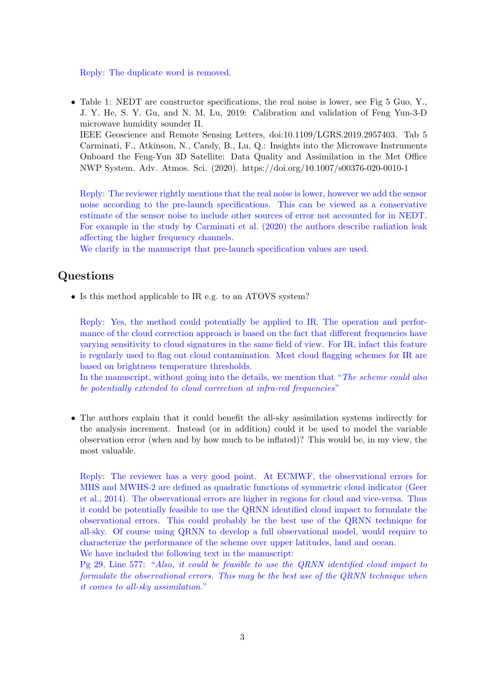Reply: The duplicate word is removed.

• Table 1: NEDT are constructor specifications, the real noise is lower, see Fig 5 Guo, Y., J. Y. He, S. Y. Gu, and N. M. Lu, 2019: Calibration and validation of Feng Yun-3-D microwave humidity sounder II. IEEE Geoscience and Remote Sensing Letters, doi:10.1109/LGRS.2019.2957403. Tab 5 Carminati, F., Atkinson, N., Candy, B., Lu, Q.: Insights into the Microwave Instruments

Onboard the Feng-Yun 3D Satellite: Data Quality and Assimilation in the Met Office NWP System. Adv. Atmos. Sci. (2020). https://doi.org/10.1007/s00376-020-0010-1

Reply: The reviewer rightly mentions that the real noise is lower, however we add the sensor noise according to the pre-launch specifications. This can be viewed as a conservative estimate of the sensor noise to include other sources of error not accounted for in NEDT. For example in the study by Carminati et al. (2020) the authors describe radiation leak affecting the higher frequency channels.

We clarify in the manuscript that pre-launch specification values are used.

## Questions

• Is this method applicable to IR e.g. to an ATOVS system?

Reply: Yes, the method could potentially be applied to IR. The operation and performance of the cloud correction approach is based on the fact that different frequencies have varying sensitivity to cloud signatures in the same field of view. For IR, infact this feature is regularly used to flag out cloud contamination. Most cloud flagging schemes for IR are based on brightness temperature thresholds.

In the manuscript, without going into the details, we mention that "The scheme could also be potentially extended to cloud correction at infra-red frequencies"

• The authors explain that it could benefit the all-sky assimilation systems indirectly for the analysis increment. Instead (or in addition) could it be used to model the variable observation error (when and by how much to be inflated)? This would be, in my view, the most valuable.

Reply: The reviewer has a very good point. At ECMWF, the observational errors for MHS and MWHS-2 are defined as quadratic functions of symmetric cloud indicator (Geer et al., 2014). The observational errors are higher in regions for cloud and vice-versa. Thus it could be potentially feasible to use the QRNN identified cloud impact to formulate the observational errors. This could probably be the best use of the QRNN technique for all-sky. Of course using QRNN to develop a full observational model, would require to characterize the performance of the scheme over upper latitudes, land and ocean. We have included the following text in the manuscript:

Pg 29, Line 577: "Also, it could be feasible to use the QRNN identified cloud impact to formulate the observational errors. This may be the best use of the QRNN technique when it comes to all-sky assimilation."